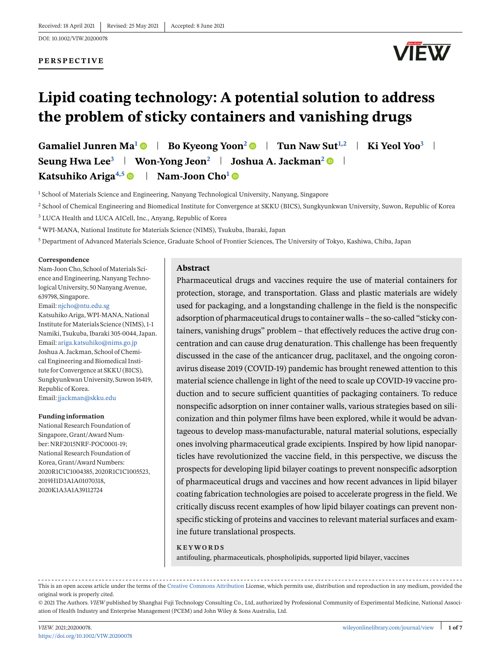DOI: 10.1002/VIW.20200078

### **PERSPECTIVE**



# **Lipid coating technology: A potential solution to address the problem of sticky containers and vanishing drugs**

Gamaliel Junren Ma<sup>1</sup> **Bo** Kyeong Yoon<sup>2</sup> **B** Tun Naw Sut<sup>1,2</sup> ki Yeol Yoo<sup>3</sup> **Seung Hwa Lee<sup>3</sup> Won-Yong Jeon<sup>2</sup> Joshua A. Jackman2 Katsuhiko Ariga<sup>4,5</sup>**  $\bullet$  **| Nam-Joon Cho<sup>1</sup>** $\bullet$ 

 $<sup>1</sup>$  School of Materials Science and Engineering, Nanyang Technological University, Nanyang, Singapore</sup>

<sup>2</sup> School of Chemical Engineering and Biomedical Institute for Convergence at SKKU (BICS), Sungkyunkwan University, Suwon, Republic of Korea

<sup>3</sup> LUCA Health and LUCA AICell, Inc., Anyang, Republic of Korea

<sup>4</sup> WPI-MANA, National Institute for Materials Science (NIMS), Tsukuba, Ibaraki, Japan

<sup>5</sup> Department of Advanced Materials Science, Graduate School of Frontier Sciences, The University of Tokyo, Kashiwa, Chiba, Japan

#### **Correspondence**

Nam-Joon Cho, School of Materials Science and Engineering, Nanyang Technological University, 50 Nanyang Avenue, 639798, Singapore.

Email: [njcho@ntu.edu.sg](mailto:njcho@ntu.edu.sg) Katsuhiko Ariga,WPI-MANA, National Institute for Materials Science (NIMS), 1-1 Namiki, Tsukuba, Ibaraki 305-0044, Japan. Email: [ariga.katsuhiko@nims.go.jp](mailto:ariga.katsuhiko@nims.go.jp) Joshua A. Jackman, School of Chemical Engineering and Biomedical Institute for Convergence at SKKU (BICS), Sungkyunkwan University, Suwon 16419, Republic of Korea. Email: [jjackman@skku.edu](mailto:jjackman@skku.edu)

#### **Funding information**

National Research Foundation of Singapore, Grant/Award Number: NRF2015NRF-POC0001-19; National Research Foundation of Korea, Grant/Award Numbers: 2020R1C1C1004385, 2020R1C1C1005523, 2019H1D3A1A01070318, 2020K1A3A1A39112724

#### **Abstract**

Pharmaceutical drugs and vaccines require the use of material containers for protection, storage, and transportation. Glass and plastic materials are widely used for packaging, and a longstanding challenge in the field is the nonspecific adsorption of pharmaceutical drugs to container walls – the so-called "sticky containers, vanishing drugs" problem – that effectively reduces the active drug concentration and can cause drug denaturation. This challenge has been frequently discussed in the case of the anticancer drug, paclitaxel, and the ongoing coronavirus disease 2019 (COVID-19) pandemic has brought renewed attention to this material science challenge in light of the need to scale up COVID-19 vaccine production and to secure sufficient quantities of packaging containers. To reduce nonspecific adsorption on inner container walls, various strategies based on siliconization and thin polymer films have been explored, while it would be advantageous to develop mass-manufacturable, natural material solutions, especially ones involving pharmaceutical grade excipients. Inspired by how lipid nanoparticles have revolutionized the vaccine field, in this perspective, we discuss the prospects for developing lipid bilayer coatings to prevent nonspecific adsorption of pharmaceutical drugs and vaccines and how recent advances in lipid bilayer coating fabrication technologies are poised to accelerate progress in the field. We critically discuss recent examples of how lipid bilayer coatings can prevent nonspecific sticking of proteins and vaccines to relevant material surfaces and examine future translational prospects.

#### **KEYWORDS**

antifouling, pharmaceuticals, phospholipids, supported lipid bilayer, vaccines

This is an open access article under the terms of the [Creative Commons Attribution](http://creativecommons.org/licenses/by/4.0/) License, which permits use, distribution and reproduction in any medium, provided the original work is properly cited.

© 2021 The Authors. *VIEW* published by Shanghai Fuji Technology Consulting Co., Ltd, authorized by Professional Community of Experimental Medicine, National Association of Health Industry and Enterprise Management (PCEM) and John Wiley & Sons Australia, Ltd.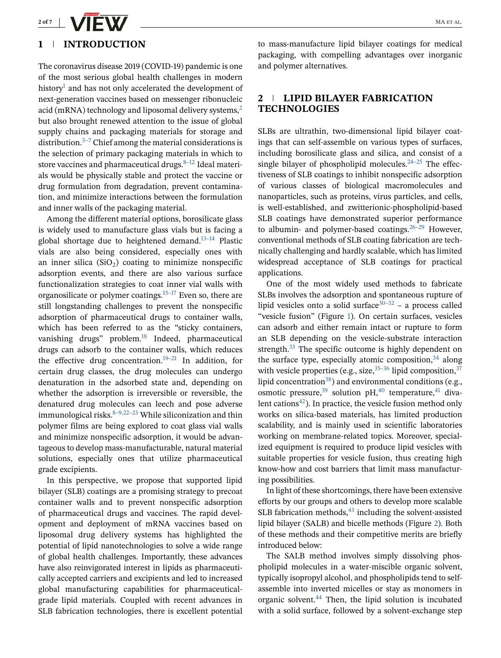

## **1 INTRODUCTION**

The coronavirus disease 2019 (COVID-19) pandemic is one of the most serious global health challenges in modern history<sup>[1](#page-5-0)</sup> and has not only accelerated the development of next-generation vaccines based on messenger ribonucleic acid (mRNA) technology and liposomal delivery systems, $<sup>2</sup>$ </sup> but also brought renewed attention to the issue of global supply chains and packaging materials for storage and distribution. $3-7$  Chief among the material considerations is the selection of primary packaging materials in which to store vaccines and pharmaceutical drugs. $8-12$  Ideal materials would be physically stable and protect the vaccine or drug formulation from degradation, prevent contamination, and minimize interactions between the formulation and inner walls of the packaging material.

Among the different material options, borosilicate glass is widely used to manufacture glass vials but is facing a global shortage due to heightened demand. $13-14$  Plastic vials are also being considered, especially ones with an inner silica  $(SiO<sub>2</sub>)$  coating to minimize nonspecific adsorption events, and there are also various surface functionalization strategies to coat inner vial walls with organosilicate or polymer coatings. $15-17$  Even so, there are still longstanding challenges to prevent the nonspecific adsorption of pharmaceutical drugs to container walls, which has been referred to as the "sticky containers, vanishing drugs" problem. $18$  Indeed, pharmaceutical drugs can adsorb to the container walls, which reduces the effective drug concentration.<sup>19–21</sup> In addition, for certain drug classes, the drug molecules can undergo denaturation in the adsorbed state and, depending on whether the adsorption is irreversible or reversible, the denatured drug molecules can leech and pose adverse immunological risks. $8-9,22-23$  While siliconization and thin polymer films are being explored to coat glass vial walls and minimize nonspecific adsorption, it would be advantageous to develop mass-manufacturable, natural material solutions, especially ones that utilize pharmaceutical grade excipients.

In this perspective, we propose that supported lipid bilayer (SLB) coatings are a promising strategy to precoat container walls and to prevent nonspecific adsorption of pharmaceutical drugs and vaccines. The rapid development and deployment of mRNA vaccines based on liposomal drug delivery systems has highlighted the potential of lipid nanotechnologies to solve a wide range of global health challenges. Importantly, these advances have also reinvigorated interest in lipids as pharmaceutically accepted carriers and excipients and led to increased global manufacturing capabilities for pharmaceuticalgrade lipid materials. Coupled with recent advances in SLB fabrication technologies, there is excellent potential

to mass-manufacture lipid bilayer coatings for medical packaging, with compelling advantages over inorganic and polymer alternatives.

# **2 LIPID BILAYER FABRICATION TECHNOLOGIES**

SLBs are ultrathin, two-dimensional lipid bilayer coatings that can self-assemble on various types of surfaces, including borosilicate glass and silica, and consist of a single bilayer of phospholipid molecules.<sup>24–25</sup> The effectiveness of SLB coatings to inhibit nonspecific adsorption of various classes of biological macromolecules and nanoparticles, such as proteins, virus particles, and cells, is well-established, and zwitterionic-phospholipid-based SLB coatings have demonstrated superior performance to albumin- and polymer-based coatings.  $26-29$  However, conventional methods of SLB coating fabrication are technically challenging and hardly scalable, which has limited widespread acceptance of SLB coatings for practical applications.

One of the most widely used methods to fabricate SLBs involves the adsorption and spontaneous rupture of lipid vesicles onto a solid surface<sup>[30–32](#page-5-0)</sup> – a process called "vesicle fusion" (Figure [1\)](#page-2-0). On certain surfaces, vesicles can adsorb and either remain intact or rupture to form an SLB depending on the vesicle-substrate interaction strength. $33$  The specific outcome is highly dependent on the surface type, especially atomic composition,  $34$  along with vesicle properties (e.g., size,  $35-36$  lipid composition,  $37$ lipid concentration<sup>38</sup>) and environmental conditions (e.g., osmotic pressure,  $39$  solution pH,  $40$  temperature,  $41$  divalent cations<sup>42</sup>). In practice, the vesicle fusion method only works on silica-based materials, has limited production scalability, and is mainly used in scientific laboratories working on membrane-related topics. Moreover, specialized equipment is required to produce lipid vesicles with suitable properties for vesicle fusion, thus creating high know-how and cost barriers that limit mass manufacturing possibilities.

In light of these shortcomings, there have been extensive efforts by our groups and others to develop more scalable SLB fabrication methods, $43$  including the solvent-assisted lipid bilayer (SALB) and bicelle methods (Figure [2\)](#page-2-0). Both of these methods and their competitive merits are briefly introduced below:

The SALB method involves simply dissolving phospholipid molecules in a water-miscible organic solvent, typically isopropyl alcohol, and phospholipids tend to selfassemble into inverted micelles or stay as monomers in organic solvent[.44](#page-6-0) Then, the lipid solution is incubated with a solid surface, followed by a solvent-exchange step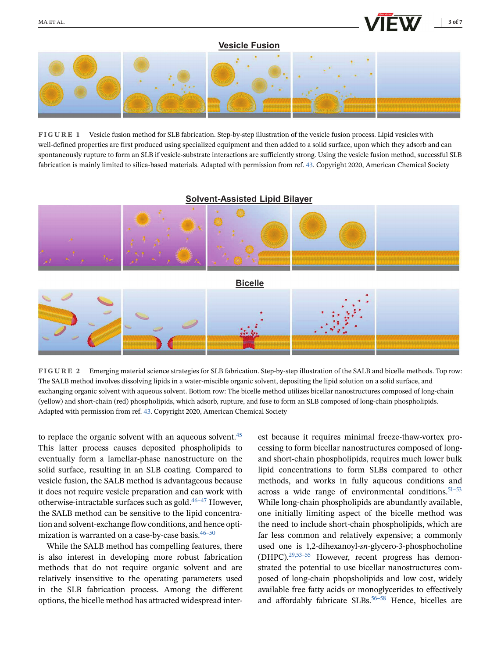#### **Vesicle Fusion**

<span id="page-2-0"></span>

**FIGURE 1** Vesicle fusion method for SLB fabrication. Step-by-step illustration of the vesicle fusion process. Lipid vesicles with well-defined properties are first produced using specialized equipment and then added to a solid surface, upon which they adsorb and can spontaneously rupture to form an SLB if vesicle-substrate interactions are sufficiently strong. Using the vesicle fusion method, successful SLB fabrication is mainly limited to silica-based materials. Adapted with permission from ref. [43.](#page-6-0) Copyright 2020, American Chemical Society

#### **Solvent-Assisted Lipid Bilayer**



**FIGURE 2** Emerging material science strategies for SLB fabrication. Step-by-step illustration of the SALB and bicelle methods. Top row: The SALB method involves dissolving lipids in a water-miscible organic solvent, depositing the lipid solution on a solid surface, and exchanging organic solvent with aqueous solvent. Bottom row: The bicelle method utilizes bicellar nanostructures composed of long-chain (yellow) and short-chain (red) phospholipids, which adsorb, rupture, and fuse to form an SLB composed of long-chain phospholipids. Adapted with permission from ref. [43.](#page-6-0) Copyright 2020, American Chemical Society

to replace the organic solvent with an aqueous solvent.<sup>[45](#page-6-0)</sup> This latter process causes deposited phospholipids to eventually form a lamellar-phase nanostructure on the solid surface, resulting in an SLB coating. Compared to vesicle fusion, the SALB method is advantageous because it does not require vesicle preparation and can work with otherwise-intractable surfaces such as gold. $46-47$  However, the SALB method can be sensitive to the lipid concentration and solvent-exchange flow conditions, and hence optimization is warranted on a case-by-case basis. $46-50$ 

While the SALB method has compelling features, there is also interest in developing more robust fabrication methods that do not require organic solvent and are relatively insensitive to the operating parameters used in the SLB fabrication process. Among the different options, the bicelle method has attracted widespread interest because it requires minimal freeze-thaw-vortex processing to form bicellar nanostructures composed of longand short-chain phospholipids, requires much lower bulk lipid concentrations to form SLBs compared to other methods, and works in fully aqueous conditions and across a wide range of environmental conditions. $51-53$ While long-chain phospholipids are abundantly available, one initially limiting aspect of the bicelle method was the need to include short-chain phospholipids, which are far less common and relatively expensive; a commonly used one is 1,2-dihexanoyl-*sn*-glycero-3-phosphocholine (DHPC)[.29,53–55](#page-5-0) However, recent progress has demonstrated the potential to use bicellar nanostructures composed of long-chain phopsholipids and low cost, widely available free fatty acids or monoglycerides to effectively and affordably fabricate SLBs.<sup>56–58</sup> Hence, bicelles are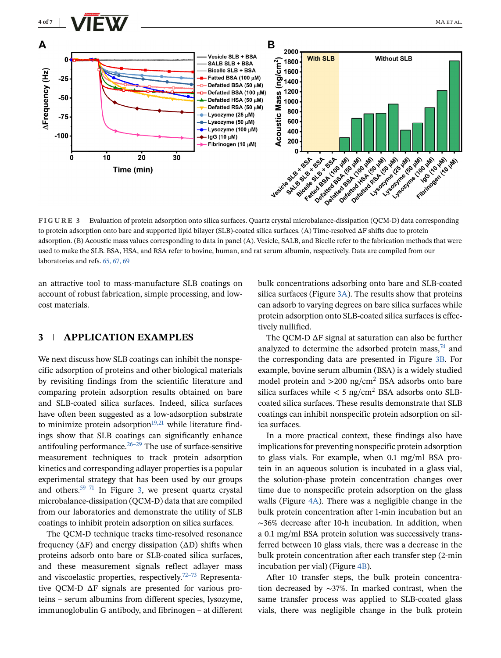

**FIGURE 3** Evaluation of protein adsorption onto silica surfaces. Quartz crystal microbalance-dissipation (QCM-D) data corresponding to protein adsorption onto bare and supported lipid bilayer (SLB)-coated silica surfaces. (A) Time-resolved ΔF shifts due to protein adsorption. (B) Acoustic mass values corresponding to data in panel (A). Vesicle, SALB, and Bicelle refer to the fabrication methods that were used to make the SLB. BSA, HSA, and RSA refer to bovine, human, and rat serum albumin, respectively. Data are compiled from our laboratories and refs. [65, 67, 69](#page-6-0)

an attractive tool to mass-manufacture SLB coatings on account of robust fabrication, simple processing, and lowcost materials.

# **3 APPLICATION EXAMPLES**

We next discuss how SLB coatings can inhibit the nonspecific adsorption of proteins and other biological materials by revisiting findings from the scientific literature and comparing protein adsorption results obtained on bare and SLB-coated silica surfaces. Indeed, silica surfaces have often been suggested as a low-adsorption substrate to minimize protein adsorption $19,21$  while literature findings show that SLB coatings can significantly enhance antifouling performance. $26-29$  The use of surface-sensitive measurement techniques to track protein adsorption kinetics and corresponding adlayer properties is a popular experimental strategy that has been used by our groups and others.<sup>59–71</sup> In Figure 3, we present quartz crystal microbalance-dissipation (QCM-D) data that are compiled from our laboratories and demonstrate the utility of SLB coatings to inhibit protein adsorption on silica surfaces.

The QCM-D technique tracks time-resolved resonance frequency (ΔF) and energy dissipation (ΔD) shifts when proteins adsorb onto bare or SLB-coated silica surfaces, and these measurement signals reflect adlayer mass and viscoelastic properties, respectively.<sup>72–73</sup> Representative QCM-D ΔF signals are presented for various proteins – serum albumins from different species, lysozyme, immunoglobulin G antibody, and fibrinogen – at different

bulk concentrations adsorbing onto bare and SLB-coated silica surfaces (Figure 3A). The results show that proteins can adsorb to varying degrees on bare silica surfaces while protein adsorption onto SLB-coated silica surfaces is effectively nullified.

The QCM-D ΔF signal at saturation can also be further analyzed to determine the adsorbed protein mass,  $74$  and the corresponding data are presented in Figure 3B. For example, bovine serum albumin (BSA) is a widely studied model protein and  $>200$  ng/cm<sup>2</sup> BSA adsorbs onto bare silica surfaces while  $\langle 5 \text{ ng/cm}^2 \text{ BSA }$  adsorbs onto SLBcoated silica surfaces. These results demonstrate that SLB coatings can inhibit nonspecific protein adsorption on silica surfaces.

In a more practical context, these findings also have implications for preventing nonspecific protein adsorption to glass vials. For example, when 0.1 mg/ml BSA protein in an aqueous solution is incubated in a glass vial, the solution-phase protein concentration changes over time due to nonspecific protein adsorption on the glass walls (Figure [4A\)](#page-4-0). There was a negligible change in the bulk protein concentration after 1-min incubation but an <sup>∼</sup>36% decrease after 10-h incubation. In addition, when a 0.1 mg/ml BSA protein solution was successively transferred between 10 glass vials, there was a decrease in the bulk protein concentration after each transfer step (2-min incubation per vial) (Figure [4B\)](#page-4-0).

After 10 transfer steps, the bulk protein concentration decreased by <sup>∼</sup>37%. In marked contrast, when the same transfer process was applied to SLB-coated glass vials, there was negligible change in the bulk protein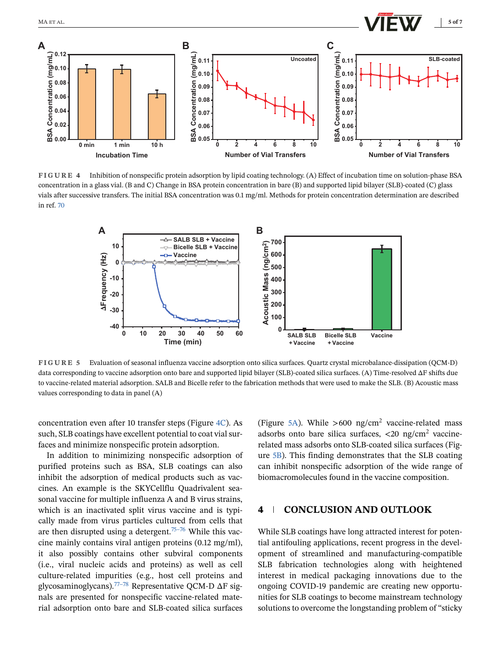<span id="page-4-0"></span>

**FIGURE 4** Inhibition of nonspecific protein adsorption by lipid coating technology. (A) Effect of incubation time on solution-phase BSA concentration in a glass vial. (B and C) Change in BSA protein concentration in bare (B) and supported lipid bilayer (SLB)-coated (C) glass vials after successive transfers. The initial BSA concentration was 0.1 mg/ml. Methods for protein concentration determination are described in ref. [70](#page-6-0)



**FIGURE 5** Evaluation of seasonal influenza vaccine adsorption onto silica surfaces. Quartz crystal microbalance-dissipation (QCM-D) data corresponding to vaccine adsorption onto bare and supported lipid bilayer (SLB)-coated silica surfaces. (A) Time-resolved ΔF shifts due to vaccine-related material adsorption. SALB and Bicelle refer to the fabrication methods that were used to make the SLB. (B) Acoustic mass values corresponding to data in panel (A)

concentration even after 10 transfer steps (Figure 4C). As such, SLB coatings have excellent potential to coat vial surfaces and minimize nonspecific protein adsorption.

In addition to minimizing nonspecific adsorption of purified proteins such as BSA, SLB coatings can also inhibit the adsorption of medical products such as vaccines. An example is the SKYCellflu Quadrivalent seasonal vaccine for multiple influenza A and B virus strains, which is an inactivated split virus vaccine and is typically made from virus particles cultured from cells that are then disrupted using a detergent.<sup>75–76</sup> While this vaccine mainly contains viral antigen proteins (0.12 mg/ml), it also possibly contains other subviral components (i.e., viral nucleic acids and proteins) as well as cell culture-related impurities (e.g., host cell proteins and glycosaminoglycans).<sup>77–78</sup> Representative QCM-D  $\Delta$ F signals are presented for nonspecific vaccine-related material adsorption onto bare and SLB-coated silica surfaces

(Figure 5A). While  $>600 \text{ ng/cm}^2$  vaccine-related mass adsorbs onto bare silica surfaces,  $\langle 20 \text{ ng/cm}^2$  vaccinerelated mass adsorbs onto SLB-coated silica surfaces (Figure 5B). This finding demonstrates that the SLB coating can inhibit nonspecific adsorption of the wide range of biomacromolecules found in the vaccine composition.

# **4 CONCLUSION AND OUTLOOK**

While SLB coatings have long attracted interest for potential antifouling applications, recent progress in the development of streamlined and manufacturing-compatible SLB fabrication technologies along with heightened interest in medical packaging innovations due to the ongoing COVID-19 pandemic are creating new opportunities for SLB coatings to become mainstream technology solutions to overcome the longstanding problem of "sticky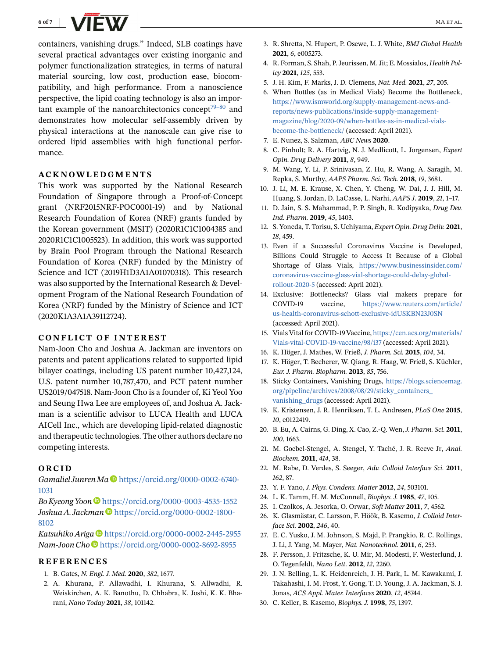<span id="page-5-0"></span>

containers, vanishing drugs." Indeed, SLB coatings have several practical advantages over existing inorganic and polymer functionalization strategies, in terms of natural material sourcing, low cost, production ease, biocompatibility, and high performance. From a nanoscience perspective, the lipid coating technology is also an important example of the nanoarchitectonics concept<sup>79–80</sup> and demonstrates how molecular self-assembly driven by physical interactions at the nanoscale can give rise to ordered lipid assemblies with high functional performance.

### **ACKNOWLEDGMENTS**

This work was supported by the National Research Foundation of Singapore through a Proof-of-Concept grant (NRF2015NRF-POC0001-19) and by National Research Foundation of Korea (NRF) grants funded by the Korean government (MSIT) (2020R1C1C1004385 and 2020R1C1C1005523). In addition, this work was supported by Brain Pool Program through the National Research Foundation of Korea (NRF) funded by the Ministry of Science and ICT (2019H1D3A1A01070318). This research was also supported by the International Research & Development Program of the National Research Foundation of Korea (NRF) funded by the Ministry of Science and ICT (2020K1A3A1A39112724).

## **CONFLICT OF INTEREST**

Nam-Joon Cho and Joshua A. Jackman are inventors on patents and patent applications related to supported lipid bilayer coatings, including US patent number 10,427,124, U.S. patent number 10,787,470, and PCT patent number US2019/047518. Nam-Joon Cho is a founder of, Ki Yeol Yoo and Seung Hwa Lee are employees of, and Joshua A. Jackman is a scientific advisor to LUCA Health and LUCA AICell Inc., which are developing lipid-related diagnostic and therapeutic technologies. The other authors declare no competing interests.

#### **ORCID**

*Gamaliel Junren Ma* [https://orcid.org/0000-0002-6740-](https://orcid.org/0000-0002-6740-1031) [1031](https://orcid.org/0000-0002-6740-1031)

*Bo Kyeong Yoon* <https://orcid.org/0000-0003-4535-1552> Joshua A. Jackman<sup>1</sup> [https://orcid.org/0000-0002-1800-](https://orcid.org/0000-0002-1800-8102) [8102](https://orcid.org/0000-0002-1800-8102)

*Katsuhiko Ariga* <https://orcid.org/0000-0002-2445-2955> *Nam-Joon Cho* <https://orcid.org/0000-0002-8692-8955>

#### **REFERENCES**

- 1. B. Gates, *N. Engl. J. Med.* **2020**, *382*, 1677.
- 2. A. Khurana, P. Allawadhi, I. Khurana, S. Allwadhi, R. Weiskirchen, A. K. Banothu, D. Chhabra, K. Joshi, K. K. Bharani, *Nano Today* **2021**, *38*, 101142.
- 3. R. Shretta, N. Hupert, P. Osewe, L. J. White, *BMJ Global Health* **2021**, *6*, e005273.
- 4. R. Forman, S. Shah, P. Jeurissen, M. Jit; E. Mossialos, *Health Policy* **2021**, *125*, 553.
- 5. J. H. Kim, F. Marks, J. D. Clemens, *Nat. Med.* **2021**, *27*, 205.
- 6. When Bottles (as in Medical Vials) Become the Bottleneck, [https://www.ismworld.org/supply-management-news-and](https://www.ismworld.org/supply-management-news-and-reports/news-publications/inside-supply-management-magazine/blog/2020-09/when-bottles-as-in-medical-vials-become-the-bottleneck/)[reports/news-publications/inside-supply-management](https://www.ismworld.org/supply-management-news-and-reports/news-publications/inside-supply-management-magazine/blog/2020-09/when-bottles-as-in-medical-vials-become-the-bottleneck/)[magazine/blog/2020-09/when-bottles-as-in-medical-vials](https://www.ismworld.org/supply-management-news-and-reports/news-publications/inside-supply-management-magazine/blog/2020-09/when-bottles-as-in-medical-vials-become-the-bottleneck/)[become-the-bottleneck/](https://www.ismworld.org/supply-management-news-and-reports/news-publications/inside-supply-management-magazine/blog/2020-09/when-bottles-as-in-medical-vials-become-the-bottleneck/) (accessed: April 2021).
- 7. E. Nunez, S. Salzman, *ABC News* **2020**.
- 8. C. Pinholt; R. A. Hartvig, N. J. Medlicott, L. Jorgensen, *Expert Opin. Drug Delivery* **2011**, *8*, 949.
- 9. M. Wang, Y. Li, P. Srinivasan, Z. Hu, R. Wang, A. Saragih, M. Repka, S. Murthy, *AAPS Pharm. Sci. Tech.* **2018**, *19*, 3681.
- 10. J. Li, M. E. Krause, X. Chen, Y. Cheng, W. Dai, J. J. Hill, M. Huang, S. Jordan, D. LaCasse, L. Narhi, *AAPS J*. **2019**, *21*, 1–17.
- 11. D. Jain, S. S. Mahammad, P. P. Singh, R. Kodipyaka, *Drug Dev. Ind. Pharm.* **2019**, *45*, 1403.
- 12. S. Yoneda, T. Torisu, S. Uchiyama, *Expert Opin. Drug Deliv.* **2021**, *18*, 459.
- 13. Even if a Successful Coronavirus Vaccine is Developed, Billions Could Struggle to Access It Because of a Global Shortage of Glass Vials, [https://www.businessinsider.com/](https://www.businessinsider.com/coronavirus-vaccine-glass-vial-shortage-could-delay-global-rollout-2020-5) [coronavirus-vaccine-glass-vial-shortage-could-delay-global](https://www.businessinsider.com/coronavirus-vaccine-glass-vial-shortage-could-delay-global-rollout-2020-5)[rollout-2020-5](https://www.businessinsider.com/coronavirus-vaccine-glass-vial-shortage-could-delay-global-rollout-2020-5) (accessed: April 2021).
- 14. Exclusive: Bottlenecks? Glass vial makers prepare for COVID-19 vaccine, [https://www.reuters.com/article/](https://www.reuters.com/article/us-health-coronavirus-schott-exclusive-idUSKBN23J0SN) [us-health-coronavirus-schott-exclusive-idUSKBN23J0SN](https://www.reuters.com/article/us-health-coronavirus-schott-exclusive-idUSKBN23J0SN) (accessed: April 2021).
- 15. Vials Vital for COVID-19 Vaccine, [https://cen.acs.org/materials/](https://cen.acs.org/materials/Vials-vital-COVID-19-vaccine/98/i37) [Vials-vital-COVID-19-vaccine/98/i37](https://cen.acs.org/materials/Vials-vital-COVID-19-vaccine/98/i37) (accessed: April 2021).
- 16. K. Höger, J. Mathes, W. Frieß, *J. Pharm. Sci.* **2015**, *104*, 34.
- 17. K. Höger, T. Becherer, W. Qiang, R. Haag, W. Frieß, S. Küchler, *Eur. J. Pharm. Biopharm.* **2013**, *85*, 756.
- 18. Sticky Containers, Vanishing Drugs, [https://blogs.sciencemag.](https://blogs.sciencemag.org/pipeline/archives/2008/08/29/sticky_containers_vanishing_drugs) [org/pipeline/archives/2008/08/29/sticky\\_containers\\_](https://blogs.sciencemag.org/pipeline/archives/2008/08/29/sticky_containers_vanishing_drugs) [vanishing\\_drugs](https://blogs.sciencemag.org/pipeline/archives/2008/08/29/sticky_containers_vanishing_drugs) (accessed: April 2021).
- 19. K. Kristensen, J. R. Henriksen, T. L. Andresen, *PLoS One* **2015**, *10*, e0122419.
- 20. B. Eu, A. Cairns, G. Ding, X. Cao, Z.-Q. Wen,*J. Pharm. Sci.* **2011**, *100*, 1663.
- 21. M. Goebel-Stengel, A. Stengel, Y. Taché, J. R. Reeve Jr, *Anal. Biochem.* **2011**, *414*, 38.
- 22. M. Rabe, D. Verdes, S. Seeger, *Adv. Colloid Interface Sci.* **2011**, *162*, 87.
- 23. Y. F. Yano, *J. Phys. Condens. Matter* **2012**, *24*, 503101.
- 24. L. K. Tamm, H. M. McConnell, *Biophys. J.* **1985**, *47*, 105.
- 25. I. Czolkos, A. Jesorka, O. Orwar, *Soft Matter* **2011**, *7*, 4562.
- 26. K. Glasmästar, C. Larsson, F. Höök, B. Kasemo, *J. Colloid Interface Sci.* **2002**, *246*, 40.
- 27. E. C. Yusko, J. M. Johnson, S. Majd, P. Prangkio, R. C. Rollings, J. Li, J. Yang, M. Mayer, *Nat. Nanotechnol.* **2011**, *6*, 253.
- 28. F. Persson, J. Fritzsche, K. U. Mir, M. Modesti, F. Westerlund, J. O. Tegenfeldt, *Nano Lett*. **2012**, *12*, 2260.
- 29. J. N. Belling, L. K. Heidenreich, J. H. Park, L. M. Kawakami, J. Takahashi, I. M. Frost, Y. Gong, T. D. Young, J. A. Jackman, S. J. Jonas, *ACS Appl. Mater. Interfaces* **2020**, *12*, 45744.
- 30. C. Keller, B. Kasemo, *Biophys. J.* **1998**, *75*, 1397.